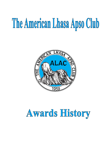# The American Lhasa Apso Club



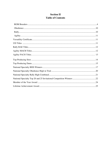## **Section II Table of Contents**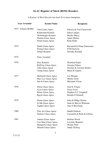# **ALAC Register of Merit (ROM) Breeders**

 *A Register of Merit Breeder* has bred 10 or more champions*.*

| <b>Year Awarded</b> | <b>Kennel Name</b>                                                                                        | <b>Recipients</b>                                                                              |
|---------------------|-----------------------------------------------------------------------------------------------------------|------------------------------------------------------------------------------------------------|
| 1973 "Charter ROMs" | Chen Lhasa Apsos<br>Kinderland Kennels<br>Norbulingka Kennels<br>Pandan Lhasa Apsos<br>Potala Lhasa Apsos | Patricia & Tom Chenoweth<br>Ellen Lonigro<br>Phyllis Marcy<br><b>Onnie Martin</b><br>Keke Kahn |
| 1974                | Dandi Lhasa Apsos<br>Dzong Lhasa Apsos<br><b>Orlane Kennels</b>                                           | Raymond & Diane Dansereau<br><b>B</b> M Garrison<br>Dorothy Kendall                            |
| 1975                | None Awarded                                                                                              |                                                                                                |
| 1976                | Drax Kennels<br>Ruffway Lhasa Apsos<br>Tabu Lhasa Apsos<br><b>Tsung Lhasa Apsos</b>                       | <b>Winifred Drake</b><br>Georgia Palmer<br>Norman & Carolyn Herbel<br>Maria B Aspuru           |
| 1977                | <b>Morknoll Lhasa Apsos</b><br>Shyr-Lyz Lhasa Apsos<br>San Jo Lhasa Apsos                                 | Liz Morgan<br><b>Shirley Scott</b><br>Marianne Nixon                                           |
| 1978                | Dolsa Lhasa Apsos<br>Licos Lhasa Apsos<br><b>Rimar Lhasa Apsos</b><br>Rgyal Lhasa Apsos                   | Jean K. Fergus<br><b>Grace Licos</b><br>Stephen G C Campbell<br>Brenda O'Donnell               |
| 1979                | <b>Hylan Lhasa Apsos</b><br>Ja-Ma Lhasa Apsos<br>Taglha Lhasa Apsos                                       | John & Midge Hylton<br>Janet & Marvin Whitman<br>Jane G Browning                               |
| 1980                | Chiz Ari Lhasa Apsos<br><b>Suntory Lhasa Apsos</b>                                                        | Maddi Durholz<br>Cassandra & Raul de la Rosa                                                   |
| 1981                | Anbara Lhasa Apsos<br>Lori Shan Lhasa Apsos<br>Shangrelu Lhasa Apsos<br>Shisedo Lhasa Apsos               | Barbara Wood<br>Lorraine Shannon<br>Wendy Penn<br>Sandy Nyberg                                 |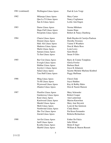| 1981 (continued) | Wellington Lhasa Apsos       | Paul & Lois Voigt               |
|------------------|------------------------------|---------------------------------|
| 1982             | Milarepa Lhasa Apsos         | Mary Carter                     |
|                  | Qua La Ti Lhasa Apsos        | Nancy Coglianese                |
|                  | San Jo Lhasa Apsos           | Leslie Ann Engen                |
| 1983             | Darno Lhasa Apsos            | Norma Mileham                   |
|                  | Hope-Full Lhasa Apsos        | Jeanne Hope                     |
|                  | <b>Pawprints Lhasa Apsos</b> | Robert & Nancy Damberg          |
| 1984             | Charru Lhasa Apsos           | Ruth Hayden & Carolyn Paulson   |
|                  | Dorjon Lhasa Apsos           | Dorothy Sweeney                 |
|                  | Hale Alii Lhasa Apsos        | Vaiene S Weathers               |
|                  | Madoros Lhasa Apsos          | Don & Marie Ross                |
|                  | Marlo Lhasa Apsos            | Lynn Lowy                       |
|                  | Samara Lhasa Apsos           | Sami Brush                      |
|                  | Ta Sen Lhasa Apsos           | Susan S Giles                   |
| 1985             | <b>Bar Con Lhasa Apsos</b>   | Barry & Connie Tompkins         |
|                  | Everglo Lhasa Apsos          | Gloria Fowler                   |
|                  | Haltbar Lhasa Apsos          | Barbara Hack                    |
|                  | Joyslyn's Lhasa Apsos        | Joyce K Johanson                |
|                  | Sulan Lhasa Apsos            | Suzette Michele Marlene Kimbrel |
|                  | Tara Huff Lhasa Apsos        | Peggy Huffman                   |
| 1986             | Ming Lhasa Apsos             | Cheryl Zink                     |
|                  | Tn Hi Lhasa Apsos            | Joyce Hadden                    |
|                  | Wynwood Lhasa Apsos          | Kay & Bobby Hales               |
|                  | <b>Zhantor Lhasa Apsos</b>   | Don & Naomi Hanson              |
| 1987             | <b>Fleetfire Lhasa Apsos</b> | Mary Schroeder                  |
|                  | Gardenway Lhasa Apsos        | Robert Cooper                   |
|                  | Kian Lhasa Apsos             | Ann Lanterman                   |
|                  | Knolwood Lhasa Apsos         | <b>Marion Knowlton</b>          |
|                  | <b>Mardel Lhasa Apsos</b>    | Mary Ann Strysick               |
|                  | Meili Lhasa Apsos            | Lynn & Sue Jaimison             |
|                  | Northwind Lhasa Apsos        | <b>Cindy Butsic</b>             |
|                  | Sho Tru Lhasa Apsos          | Pat Keen-Fernandes              |
|                  | Zarrah Lhasa Apsos           | Roberta Richardson              |
| 1988             | <b>Art-Est Lhasa Apsos</b>   | <b>Esther De Falcis</b>         |
|                  | Juell Lhasa Apsos            | Julie Elliott                   |
|                  | Kymba Lhasa Apsos            | Helen E Ingel                   |
|                  | Sharbil Lhasa Apsos          | William & Sharon Russett        |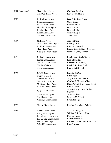| 1988 (continued) | <b>Sharil Lhasa Apsos</b>    | Cherlynn Jozwick                    |
|------------------|------------------------------|-------------------------------------|
|                  | Tall Oaks Lhasa Apsos        | Kay & Paul Shaner                   |
| 1989             | Barjea Lhasa Apsos           | Dale & Barbara Peterson             |
|                  | <b>Bihar Lhasa Apsos</b>     | Carol Strong                        |
|                  | <b>Excel Lhasa Apsos</b>     | Patricia Fitton                     |
|                  | <b>Fleetfire Lhasa Apsos</b> | Debby Rothman                       |
|                  | Kaleko Lhasa Apsos           | Debbie Burke                        |
|                  | Krisna Lhasa Apsos           | Wendy Harper                        |
|                  | <b>Talimer Lhasa Apsos</b>   | Terre Mohr                          |
| 1990             | Mi Lhasa Apsos               | Joan M Buck                         |
|                  | Misti Acres Lhasa Apsos      | <b>Beverly Drake</b>                |
|                  | <b>Rufkins Lhasa Apsos</b>   | Roberta Lombardi                    |
|                  | Shen Lhasa Apsos             | Elnore Slette & Emily Svendsen      |
|                  | Westgate Lhasa Apsos         | Nancy & Cindy Sehnert               |
| 1991             | <b>Barker Lhasa Apsos</b>    | Randolph & Sandy Barker             |
|                  | Parade Lhasa Apsos           | Ruth Flumerfelt                     |
|                  | Tatli Su Lhasa Apsos         | Elizabeth W. Chidley                |
|                  | The Bear's Den               | Frank & Barbara Trujillo            |
|                  | Tisha Lhasa Apsos            | Fred & Pat Dieball                  |
| 1992             | Bel-Air Lhasa Apsos          | Lorraine R Cole                     |
|                  | <b>Galaxy Kennels</b>        | <b>Ellen Voss</b>                   |
|                  | Gypsy Lhasa Apsos            | Skip & Patricia Johnson             |
|                  | Mataba Lhasa Apsos           | Carolyn & Michael Milan             |
|                  | Mokiema Lhasa Apsos          | Mary Powers & Stephanie Kodis       |
|                  | Rhu-Ha Lhasa Apsos           | <b>Ruth Hatcher</b>                 |
|                  | Rjays Lhasa Apsos            | Arna B Margolies & Evelyn<br>Bigman |
|                  | Tijans Lhasa Apsos           | Janie Sheridan                      |
|                  | <b>Tikal Lhasa Apsos</b>     | Suzanne M Wright                    |
|                  | <b>Woodlyn Lhasa Apsos</b>   | Lynn Replogle                       |
| 1993             | <b>Malton Lhasa Apsos</b>    | Marilyn & Anthony Schultz           |
| 1994             | Abbe's Lhasa Apsos           | Jeanette Abbeglen                   |
|                  | Arkay Lhasa Apsos            | William & Rebecca Kraus             |
|                  | Benbridge Lhasa Apsos        | Marilyn Ricciotti                   |
|                  | Kai-La-Sha Lhasa Apsos       | <b>Catherine Marley</b>             |
|                  | San Lo Lhasa Apsos           | Michael A Santora & Alan J Loso     |
|                  | Takashi Lhasa Apsos          | Ron Crowder                         |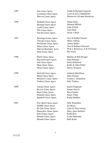| 1995 | Jaro Lhasa Apsos            | Judith & Richard Camacho     |
|------|-----------------------------|------------------------------|
|      | Lynnlaine Lhasa Apsos       | Lynn & Jerry Chapdelaine     |
|      | Marvon Lhasa Apsos          | Marion & LaVonne Brockway    |
| 1996 | <b>Bodnath Lhasa Apsos</b>  | Elaine King                  |
|      | <b>Bosland Lhasa Apsos</b>  | Michael McGirl               |
|      | Ladell Lhasa Apsos          | Judy O'Dell                  |
|      | Mio Lhasa Apsos             | Joan Pettit                  |
|      | San Sei Lhasa Apsos         | Susan A Rich                 |
| 1997 | Bearinger Lhasa Apsos       | Ney & Debbie Greene          |
|      | Chiyoko Lhasa Apsos         | Marie Allman                 |
|      | Desiderata Lhasa Apsos      | Arlene Miller                |
|      | Khasa Lhasa Apsos           | Don & Barbara Schwartz       |
|      | Marvon Bearinger Ass'n      | M & L Brockway, N & D Greene |
|      | Sintu Lhasa Apsos           | Rex Irwin                    |
| 1998 | <b>Barbo Lhasa Apsos</b>    | Barbara & Bob Prenger        |
|      | <b>Baywind Lhasa Apsos</b>  | Gina Pastrana                |
|      | Jedi Lhasa Apsos            | Dawn Kittlelson              |
|      | Moja Lhasa Apsos            | Kathy & John Fallon          |
|      | Shoyu Lhasa Apsos           | <b>Sherry Swanson</b>        |
| 1999 | <b>Idylwild Lhasa Apsos</b> | Gabriele Blackburn           |
|      | Maijo Lhasa Apsos           | Sally Chenier                |
|      | Mischief's Lhasa Apsos      | Connie L. Bindschuz          |
|      | <b>Timbers Lhasa Apsos</b>  | Julie Timbers                |
| 2000 | Alasara Lhasa Apsos         | Sarah Fitzgerald             |
|      | Ha-Lee Lhasa Apsos          | Jeanne Sauvel                |
|      | Ransi Lhasa Apsos           | Rita Cloutier                |
|      | Solitude Lhasa Apsos        | Janice Tilley                |
|      | Spindrift Lhasa Apsos       | Kathie Ruffner               |
| 2001 | Free Spirit Lhasa Apsos     | Debi Walsleben               |
|      | <b>GEMK Lhasa Apsos</b>     | <b>Ed Moses</b>              |
|      | Hi Tide Lhasa Apsos         | Carla & Nick Varney          |
|      | Honeydew Lhasa Apsos        | Mary Anne Stafford           |
|      | Keko Lhasa Apsos            | Keith Kort                   |
|      | Shisedo Lhasa Apsos         | Leslie Baumann               |
|      | Shisedo Lhasa Apsos         | <b>Barb Kelm</b>             |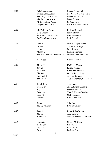| 2002 | <b>Bala Lhasa Apsos</b>       | Brenda Schmelzel          |
|------|-------------------------------|---------------------------|
|      | Kuther Lhasa Apsos            | Lee Nagel & Robin Fisher  |
|      | Mai Ling Lhasa Apsos          | <b>Bonnie Provencher</b>  |
|      | Ma-Jik Lhasa Apsos            | Diane Selmer              |
|      | Mi Toya Lhasa Apsos           | Jo Anne Hays              |
|      | Utopia Lhasa Apsos            | Bill & Lawanna LaSeur     |
| 2003 | McD's Lhasa Apsos             | Jerri McDonough           |
|      | Odie Lhasas                   | <b>Sandy Fluhart</b>      |
|      | Riverview Lhasa Apsos         | Pauline Naumann           |
|      | Ru-The's Lhasa Apsos          | Ruth Ferrachi             |
| 2004 | Baywatch                      | Don & Margie Evans        |
|      | Charlet                       | <b>Charlene Dellinger</b> |
|      | Nuseng                        | Fran Strayer              |
|      | Monarch                       | Kristine Harrison         |
|      | Red Fox Lhasas of Mississippi | Dave & Sue Cannimore      |
| 2005 | Rosewood                      | Kathy A. Miller           |
| 2006 | Floral Hill                   | Kathleen Walcott          |
|      | Jaron's                       | <b>Ronny Junkins</b>      |
|      | Rushmar                       | Linda McCutcheon          |
|      | She Tsabo                     | Donna Sonnenberg          |
|      | Summerhill                    | Jan Lee Bernards          |
|      | Sundancer                     | T & M Worlton, L. Johnson |
| 2007 | Dandi-Lion                    | Joan Karger               |
|      | Golden Tu                     | Jan and Dean Graunke      |
|      | Joy                           | Deanna Maxwell            |
|      | Sundancer                     | Tom & Marsha Worlton      |
|      | Tara-Mi                       | <b>Cathy Sarantis</b>     |
|      | Timbers                       | Kaylee Timbers            |
| 2008 | Cespa                         | Julie Luther              |
|      | My Ty Rainbow                 | Patricia Collier          |
| 2009 | Fanfair                       | Larry & Jan Bruton        |
|      | Me-Tu                         | June Brown                |
|      | Windwick                      | Sandy Copeland, Tom Sorth |
| 2010 | Apsolutely                    | Shirley M. Clark          |
|      | La-Ri-San                     | Sandy Zade                |
|      | My Thai                       | Mary Vaden                |
|      | Tora                          | <b>Barbara Corbett</b>    |
|      | $\circ$                       |                           |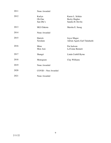| 2011 | None Awarded                  |                                                             |
|------|-------------------------------|-------------------------------------------------------------|
| 2012 | Karlyn<br>Ob-One<br>San-Dhi's | Karen L. Schlais<br><b>Becky Hughes</b><br>Sandra H. Devlin |
| 2013 | <b>MLS Dakota</b>             | Marsha E. Susag                                             |
| 2014 | None Awarded                  |                                                             |
| 2015 | Hatrick<br>Xeralane           | Joyce Magee<br>Adrian Agard, Earl Takahashi                 |
| 2016 | Mion<br>Mon Ami               | Pat Jackson<br>LaVonne Bennett                              |
| 2017 | Shangri                       | Linda Crabill Byrne                                         |
| 2018 | Monogram                      | Clay Williams                                               |
| 2019 | None Awarded                  |                                                             |
| 2020 | COVID - Non Awarded           |                                                             |
| 2021 | None Awarded                  |                                                             |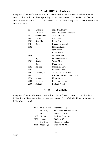## **ALAC ROM in Obedience**

*A Register of Merit Obedience Award* is available to all ALAC members who have achieved three obedience titles on Lhasa Apsos they own and have trained. This may be three CDs on three different Lhasas, a C.D., C.D.X. and U.D. on one Lhasa, or any other combination equaling three AKC titles.

| 1977 | Charmel    | Melodye Haverly              |
|------|------------|------------------------------|
|      | Tailsinn   | James & Joanne Lancaster     |
| 1978 | Green Pond | Miriam Krum                  |
| 1982 | Habibi     | Joan Clark                   |
| 1983 | Sera Mar   | Linda Jarrett                |
| 1984 | Bala       | Brenda Schmelzel             |
| 1985 |            | <b>Florence Kantor</b>       |
|      |            | Jean Foster                  |
|      |            | <b>Betty Wathne</b>          |
| 1986 |            | Janine Grinta                |
|      | Joy        | Deanna Maxwell               |
| 1989 | San Sei    | Susan Rich                   |
|      | Serlo      | Diana Serlo                  |
| 1992 | Beijing    | Jacqueline Love              |
| 1994 |            | <b>Evette Squires</b>        |
| 1995 | Moon Pye   | Marilyn & Glenn Miller       |
| 1997 |            | Patricia Temarantz-Mickowski |
| 1998 | Adamo      | Helen Adamo                  |
| 2000 | Ob-One     | Becky A. Hughes              |
| 2009 | Anbara     | Barbara Wood                 |

### **ALAC ROM in Rally**

*A Register of Merit Rally Award* is available to all ALAC members who have achieved three Rally titles on Lhasa Apsos they own and have trained. Three (3) Rally titles must include one Rally Advanced level.

| 2007 | <b>MLS</b> Dakota | Marsha Susag             |
|------|-------------------|--------------------------|
|      | Moon Pye          | Glenn and Marilyn Miller |
|      | Tora              | Barbara Corbett          |
| 2008 | MeLou             | Melissa Torgerson        |
| 2009 | Anbara            | Barbara Wood             |
|      | Ob-One's          | Becky A Hughes           |
| 2011 | Moon Pye          | Marilyn M. Miller        |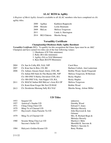## **ALAC ROM in Agility**

*A Register of Merit Agility* Award is available to all ALAC members who have completed six (6) agility titles.

|      | 2000 Agilhas    | Kathleen Rupprecht  |
|------|-----------------|---------------------|
|      | 2008 Shisedo    | Leslie Baumann      |
|      | 2009 MeLou      | Melissa Torgerson   |
| 2011 |                 | Linda A. Harrington |
|      | 2014 MLS Dakota | Marsha Susag        |

## **Versatility Certificate**

#### **Championship-Obedience-Rally-Agility-Barnhunt**

*Versatility Certificate (VC):* To qualify for this recognition the Lhasa Apso must be an AKC Champion and have earned two titles out of the four following venues:

- 1. Obedience (CD Title minimum)
- 2. Rally (RA title minimum)
- 3. Agility (NA or NAJ Minimum)
- 4. Barn Hunt (RATN Minimum)

2004 Ch. San Jo Colby RN, NAJ, NJP Carol Hess

| 2007 | Ch. Kian San Jo Brie, CD, RE               | Barbara Corbett, Ann Lanterman |
|------|--------------------------------------------|--------------------------------|
| 2008 | Ch. Anbara Alasara Smart Aleck, CDX, RE    | Bobbie Wood, Sarah Fitzgerald  |
|      | Ch. Indian Hill Suds-In-The-Bucket RE, NJP | Melissa Torgerson, M Bertram   |
|      | Ch. OB-ONE'S Harley Davidson CDX, RA       | Becky Hughes                   |
|      | Ch. OB-ONE'S Ky Ann Pepper UD, RA,         | Becky Hughes                   |
| 2011 | Ch. MACh2 Indian Hill MeLou's Josie RA OF  | Melissa Torgerson              |
|      | Ch. Kumi Kian Forget Me Not CD RAE         | <b>Bobbie Wood</b>             |
| 2013 | Ch. Desiderata Mustang Sally RA NAJ        | Marsha Susag, Arlene Miller    |
|      |                                            |                                |

#### **UD Titles**

| Dorothy Wood              |
|---------------------------|
| Edward T. Jones           |
| Melodye Haverly           |
| John Haywood & Ann        |
|                           |
| Mrs. H. Richard Bogn $\&$ |
| Melodye Haverly           |
| Marilyn J. Mele           |
| Meredith K. Saccone $\&$  |
| Martin J. Saccone Jr.     |
| <b>Betty Wathne</b>       |
|                           |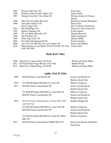| 1985 | Princess Suki-Too UD                         | <b>Jean Foster</b>          |
|------|----------------------------------------------|-----------------------------|
| 1986 | Watcher Under Free Flyt Objex UD             | Janine Grinta               |
| 1987 | Nuseng Tacin My-T-Luv Bear UD                | Florence Kantor & Frances   |
|      |                                              | Strayer                     |
| 1988 | Shoe Son of Leather Bear UD                  | Richard & Deanna Morehead   |
| 1989 | Alexandria Dancer UD                         | Diane Serlo                 |
|      | Pooh's Tigger UD                             | Steve & Merna Winchester    |
| 1991 | Miz Muffonger UD                             | Patricia & Ariel Franceschi |
| 1993 | Squires' Hopsing UD                          | <b>Evette Squires</b>       |
| 1995 | Ch. Joy Marlo Mercedes UD                    | Deanna Maxwell              |
| 1996 | San Can Roo UD                               | Diane Goodspeed             |
| 2000 | Niniz Tiger Lilly UD                         | Marilyn Miller              |
| 2004 | Poco Bach Rachmaninoff UD                    | Patricia Gordon             |
| 2006 | Am. Can. Ch. OB One's Ky-Ann Pepper UD       | Becky Ann Hughes            |
| 2018 | Mistymeadows Look What I Can Do UD RE AX AXJ | <b>Tammy Bell</b>           |
|      | <b>OAP AJP OFP</b>                           |                             |

## **Rally RAE Titles**

|  | 2009 Moon Pye's Luckee Fella, CD, RAE |  |
|--|---------------------------------------|--|
|--|---------------------------------------|--|

| 2009 Moon Pye's Luckee Fella, CD, RAE        | Marilyn & Glenn Miller                                        |
|----------------------------------------------|---------------------------------------------------------------|
| 2012 CH. Kumi Kian Forget Me Not, CD, RAE    | Bobbie Wood                                                   |
| $2012$ Mess Dr. $\lambda$ Messli Miss CD DAE | $M_{\text{out}}$ $\sim$ 0. $C1_{\text{out}}$ $M_{\text{out}}$ |

2013 Moon Pye's Mandi Ming, CD, RAE Marilyn & Glenn Miller

# **Agility MACH Titles**

| 2009 | <b>MACH Parkir Louie Roeder OF</b>                        | Susan Lynn Roeder &         |
|------|-----------------------------------------------------------|-----------------------------|
|      |                                                           | Barbara Susan Fain          |
| 2010 | Ch. MACH Indian Hill MeLou's Josie OF                     | Melissa Torgerson           |
| 2011 | <b>MACH2 Parkir Louie Roeder OF</b>                       | Susan Lynn Roeder &         |
|      |                                                           | Barbara Susan Fain          |
|      | Ch. MACH2 Indian Hill MeLou's Josie RN OF                 | Melissa Torgerson           |
|      | <b>MACH3 Parkir Louie Roeder OF</b>                       | Susan Lynn Roeder &         |
|      |                                                           | Barbara Susan Fain          |
| 2012 | MACH Orlane's Michelangelo At Play MXG MJC<br>AXP OJP XF. | Kathleen Rupprecht          |
|      | Ch. MACH3 Indian Hill MeLou's Josie RA OF                 | Melissa Torgerson           |
|      | <b>MACH4 Parkir Louie Roeder OF</b>                       | Susan Lynn Roeder &         |
|      |                                                           | Barbara Susan Fain          |
|      | Ch. MACh4 Indian Hill MeLou's Josie RA MXG                | Melissa Torgerson           |
|      | <b>MJC XF</b>                                             |                             |
| 2013 | MACH5 Parkir Louie Roeder MXB2 MUG OF                     | Susan Lynn Roeder & Barbara |
|      |                                                           | Susan Fain                  |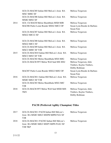|      | GCh Ch MACH5 Indian Hill MeLou's Josie RA<br>MXC MJB2 XF      | Melissa Torgerson           |
|------|---------------------------------------------------------------|-----------------------------|
|      | GCh Ch MACH6 Indian Hill MeLou's Josie RA<br>MXB2 MJS2 XF     | Melissa Torgerson           |
| 2014 | GCh Ch MACH Melou Shambhala MXB MJB                           | Melissa Torgerson           |
|      | MACH6 Parkir Louie Roeder MXS2 MJC2 OF                        | Susan Lynn Roeder & Barbara |
|      |                                                               | <b>Susan Fain</b>           |
|      | GCh Ch MACH7 Indian Hill MeLou's Josie RA                     | Melissa Torgerson           |
|      | MXG2 MJC22 XF                                                 |                             |
|      |                                                               |                             |
|      | GCh Ch MACH8 Indian Hill MeLou's Josie RA                     | Melissa Torgerson           |
|      | MXG2 MJC2 XF                                                  |                             |
|      | GCh Ch MACH9 Indian Hill MeLou's Josie RA<br>MXC2 MJB3 XF T2B | Melissa Torgerson           |
| 2015 | GCh Ch MACH10 Indian Hill MeLou's Josie RA                    |                             |
|      | MXC2 MJS3 XF T2B                                              | Melissa Torgerson           |
|      | GCh Ch MACH2 Melou Shambhala MXS MJG                          | Melissa Torgerson           |
|      | GCh Ch MACH FFT Melou Well Said MX MXJ                        | Melissa Torgerson, Julie    |
|      |                                                               | Timbers, Kaylee Timbers,    |
|      |                                                               | Debby Rothman               |
|      | MACH7 Parkir Louie Roeder MXG2 MJS3 OF                        | Susan Lynn Roeder & Barbara |
|      |                                                               | Susan Fain                  |
| 2016 | GCh Ch MACH11 Indian Hill MeLou's Josie RA                    | Melissa Torgerson           |
|      | MXB3 MJG3 XF T2B                                              |                             |
|      | GCh Ch MACH3 Melou Shambhala MXG MJC                          | Melissa Torgerson           |
|      | T <sub>2</sub> B                                              |                             |
| 2018 | GCh Ch MACH FFT Melou Well Said MXB MJS                       | Melissa Torgerson, Julie    |
|      | <b>TKN</b>                                                    | Timbers, Kaylee Timbers,    |
|      |                                                               | Debby Rothman               |

# **PACH (Preferred Agility Champion) Titles**

| 2017 | GCh Ch MACH11 PACH Indian Hill MeLou's  | Melissa Torgerson |
|------|-----------------------------------------|-------------------|
|      | Josie RA MXB3 MJG3 MXPB MJPB PAX XF     |                   |
|      | T <sub>2</sub> R                        |                   |
| 2018 | GCh Ch MACH11 PACH2 Indian Hill MeLou's | Melissa Torgerson |
|      | Josie, RA MXB3 MJG3 MXP5 MJPS PAX2 XF   |                   |
|      | T2B TKP                                 |                   |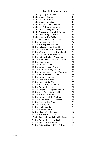# **Top 20 Producing Sires**

| 1. Ch. Light Up's Red Alert           | 54 |
|---------------------------------------|----|
| 2. Ch. Orlane's Scirocco              | 48 |
| 3. Ch. Tibet of Cornwallis            | 47 |
| 4. Ch. Orlane's Inimitable            | 46 |
| 5. Ch. Everglo's Spark of Gold        | 44 |
| 6. Ch. Misti's Play It Again Sam      | 38 |
| 7. Ch. Ta Sen Vicory Peyote           | 37 |
| 8. Ch. Panchan Northwind Hi Spirits   | 35 |
| 8. Ch. Tabu's King of Hearts          | 35 |
| 8. Ch. Chakpori Up To Date            | 35 |
| 9. Ch. Whitehouse Chief O' Staff      | 32 |
| 10. Ch. Orlane's Intrepid             | 29 |
| 10. Ch. Ruffway Mashala Chu           | 29 |
| 11. Ch. Galaxy's Flying Tiger II      | 28 |
| 12. Ch. Cherryshore's Bah Bieh Boi    | 27 |
| 12. Ch. Windsong's Gusto of Innsbrook | 27 |
| 13. Ch. Innsbrook's Patrician O'Sulan | 25 |
| 13. Ch. Rufkins Rudolph Valentino     | 25 |
| 13. Ch. Tom Lee Manchu of Knolwood    | 25 |
| 14. Ch. Chen Korum Ti                 | 24 |
| 14. Ch. Orlane's Dulmo                | 24 |
| 14. Ch. San Jo Rumors Flying          | 24 |
| 14. Ch. Tatli Su's Flying Tiger CD    | 24 |
| 15. Ch. Orlane's Impudent of Windwick | 23 |
| 15. Ch. San Jo Shenanigan CD          | 23 |
| 15. Ch. San Jo Rusty Nail             | 23 |
| 16. Ch. Chen Krisna Nor               | 22 |
| 16. Ch. Everglo Zijuh Tomba           | 22 |
| 16. Ch. Sho Tru Hylan Top Secret      | 22 |
| 17. Ch. Arborhill's Bran-Dieh         | 21 |
| 17. Ch. Dorjon's Champagne Edition    | 21 |
| 17. Ch. Misti Acres Sugar Daddy       | 21 |
| 17. Ch. Mokiema's Skulduggery         | 21 |
| 17. Ch. San Jo's Out O' The Blue      | 21 |
| 17. Ch. TN Hi Zeus The Dethroner      | 21 |
| 18. Ch. Barcon's The Avenger          | 20 |
| 18. Ch. Chen Nyun Ti                  | 20 |
| 18. Ch. Zijuh Seng Tru                | 20 |
| 19. Ch. Barker's Delirious            | 19 |
| 19. Ch. Kham of Norbulinka            | 19 |
| 19. Ch. Ruffway T'ang Chu             | 19 |
| 19. Ch. Sho Tru Hylan Tak'm By-Storm  | 19 |
| 20. Ch. Arborhill's Rhapso-Dieh       | 18 |
| 20. Ch. Kyma Of Abbotsford            | 18 |
| 20. Ch. Rufkins Chip Off The Ol Rock  | 18 |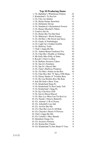## **Top 10 Producing Dams**

| 1. Ch. Bahnthai's Whitehouse Elation     | 22 |
|------------------------------------------|----|
| 2. Kinderland's Ta Sen Isis              | 18 |
| 3. Ch. Chiz Ari Sehilot                  | 17 |
| 3. Ch. Hylan Orlane Snowbird             | 17 |
| 4. Ch. Definitely Divine                 | 14 |
| 4. Ch. Sundancer's Hylanshotru Foxtrot   | 14 |
| 5. Ch. Barjea Mischief's Nikita          | 13 |
| 5. Cordova Sin-Sa                        | 13 |
| 5. Ch. Hylan Sho Tru Hot Deal            | 13 |
| 5. Ch. Mokiema's Weird Science           | 13 |
| 6. Ch. Del Rey's Ms Sweet and Sassy      | 12 |
| 6. Ch. Gindy of Norbulingka              | 12 |
| 6. Ch. Light Up's Golden Graffiti        | 12 |
| 6. Ch. Ruffway Tashi                     | 12 |
| 7. Chok's Joppa Bu Mo                    | 10 |
| 8. Ch. Anbara-Rimar Footloose Fox        | 10 |
| 8. Ch. Char-Ru's Double or Nothing       | 10 |
| 8. Mi Golly Miss Polly of Sintu          | 10 |
| 8. Royale's Cheri La Bear                | 10 |
| 8. Ch. Rufkins Sweetest Taboo            | 10 |
| 8. Ch. San Jo's Femilarie                | 10 |
| 8. Ch. San Jo's Hussel Mei               | 10 |
| 8. Ch. Tijan's Ruffway Prudence          | 10 |
| 8. Ch. Tra-Mar's Puttin on the Ritz      | 10 |
| 9. Ch. Char-Ru's Hot "N' Spicy O'Hi Hope | 9  |
| 9. Ch. Ebony Shades O' Twinkle Bear      | 9  |
| 9. Ch. Hy Lan Hoshira Kiss Me Kate       | 9  |
| 9. Jedi Shi Sedo's Show Time             | 9  |
| 9. Ch. Kinderland Sang Po                | 9  |
| 9. Ch. Kinderland Ta Sen Candy Tuft      | 9  |
| 9. Ch. Kinderland's Sang Po              | 9  |
| 9. Ch. Kyi Chu Kira CDX                  | 9  |
| 9. Ch. San Jo Hussel Bussel              | 9  |
| 9. Ch. Shyr Lyz Misa Cun-Tia Kai-Lei     | 9  |
| 10. Ch. Parade's Elusive Butterfly       | 8  |
| 10. Ch. Almont's J B of Nyima            | 8  |
| 10. Ch. Arborhill's Lee-Sah              | 8  |
| 10. Ch. Art-Est She-Ma                   | 8  |
| 10. Ch. Char-Ru's Lets It All Ride       | 8  |
| 10. Ch. Chiyoko's Hearts N Flowers       | 8  |
| 10. Chol's Joppa Bu-Mo                   | 8  |
| 10. Ch. Colarlie's Miss Shanda           | 8  |
| 10. Hamilton Chang-Tru                   | 8  |
| 10. Ch. Joyslyn's Promise                | 8  |
| 10. Ch. Karma Rus Timala                 | 8  |
| 19. Ch. Kinderland Ta Sen Shade O'Tara   | 8  |
|                                          |    |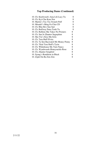# **Top Producing Dams (Continued)**

| 10. Ch. Knolwood's Ama Lili Lucy Tu    | 8 |
|----------------------------------------|---|
| 10. Ch. Kyi-Chu Kara Nor               | 8 |
| 10. Martin's Toc-Toc Swatch Puff       | 8 |
| 10. Miradel's Ming Fu Chia CD          | 8 |
| 10. Ch. Rhu-Ha's Suu Sari              | 8 |
| 10. Ch. Ruffway Patra Tashi Tu         | 8 |
| 10. Ch. Rufkins She Takes No Prizners  | 8 |
| 10. Ch. San Jo Zhantor Sugarplum       | 8 |
| 10. Sho Tru's Kiss Ma Grits            | 8 |
| 10. Ch. Tara Huff Elvira               | 8 |
| 10. Ch. Ta Sen Baywatch Ms Money Penny | 8 |
| 10. Ch. Tikal Tara Huff's Tyrin        | 8 |
| 10. Ch. Whitehouse My Turn Nancy       | 8 |
| 10. Ch. Wyndwoods Honeysuckle Rose     | 8 |
| 10. Ch. Zhantor Songbird               | 8 |
| 10. Syung's Rendition in Black         | 8 |
| 10. Zijuh On-Ba Zim Zim                | 8 |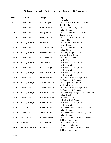# **National Specialty Best In Specialty Show (BISS) Winners**

| Year   | Location          | Judge               | Dog                                   |
|--------|-------------------|---------------------|---------------------------------------|
|        |                   |                     | Owner(s)                              |
| 1966   | Trenton, NJ       | J. Trullinger       | Ch. Kham of Norbulingka, ROM          |
|        |                   |                     | Phyllis Marcy                         |
| 1967   | Trenton, NJ       | Keith Browne        | Ch. Kyi Chu Shara, ROM                |
|        |                   |                     | Keke Blumberg                         |
| 1968   | Trenton, NJ       | <b>Harry Brunt</b>  | Ch. Kyi Chu Friar Tuck, ROM           |
|        |                   |                     | Robert Sharp                          |
| 1969 E | Trenton, NJ       | Henry Stoecker      | Ch. Ku Ka Boh of Pickwick             |
|        |                   |                     | N. & C. Herbel                        |
| 1969 W | Beverly Hills, CA | <b>Forrest Hall</b> | Ch. Teako of Abbortsford              |
|        |                   |                     | James Roberts                         |
| 1970 E | Trenton, NJ       | Cyril Bernfeld      | Ch. Kyi Chu Friar Tuck ROM            |
|        |                   |                     | <b>Robert Sharp</b>                   |
| 1970 W | Beverly Hills, CA | Heywood Hartley     | Ch. Evergo Zijuh Tomba                |
|        |                   |                     | Sharon Rouse Bryant                   |
| 1971 E | Trenton, NJ       | Jay Schaeffer       | Ch. Balrene Chia Pao                  |
|        |                   |                     | Dr. E. Brown                          |
| 1971 W | Beverly Hills, CA | O.C. Harriman       | Ch. Chen Korum Ti, ROM                |
|        |                   |                     | Pat Chenoweth                         |
| 1972 E | Trenton, NJ       | Frank Landgraf      | Ch. Chen Korum Ti, ROM                |
|        |                   |                     | Pat Chenoweth                         |
| 1972 W | Beverly Hills, CA | William Bergum      | Ch. Chen Korum Ti, ROM                |
|        |                   |                     | Pat Chenoweth                         |
| 1973 E | Trenton, NJ       | David Doane         | Ch. Barcon's the Avenger, ROM         |
|        |                   |                     | B. Tompkins & J. Kendall              |
| 1973 W | Beverly Hills, CA | Alfred Likewise     | Ch. Sharpette's Gaylord               |
|        |                   |                     | M. Teitelbaum                         |
| 1974 E | Trenton, NJ       | Alfred Likewise     | Ch. Barcon's the Avenger, ROM         |
|        |                   |                     | B. Tompkins & J. Kendall              |
| 1974 W | Beverly Hills, CA | Keke Blumberg       | Ch. Black Bay Georgana of Yin Hi I.Q. |
|        |                   |                     | <b>Robert Black</b>                   |
| 1975 E | Trenton, NJ       | Keke Blumberg       | Ch. Daktazl Tsung                     |
|        |                   |                     | L. Ripley & M. Aspuru                 |
| 1975 W | Beverly Hills, CA | Robert Berndt       | Ch. Chen Korum Ti, ROM                |
|        |                   |                     | Pat Chenoweth                         |
| 1976 E | Louisville, KY    | Robert Berndt       | Ch. Potala Keke's Yum Yum, ROM        |
|        |                   |                     | Keke Blumberg                         |
| 1976 W | Dallas, TX        | <b>Onnie Martin</b> | Ch. Potala Keke's Yum Yum, ROM        |
|        |                   |                     | Keke Blumberg                         |
| 1977 E | Syracuse, NY      | Edmund Sledzik      | Ch. Rimar's Rumpelstiltskin, ROM      |
|        |                   |                     | R. Hoyt & S. Campbell                 |
| 1977 W | Houston, TX       | Jay Shaeffer        | Ch. Yojimbo Orion                     |
|        |                   |                     | <b>Elaine Spaeth Sonne</b>            |
| 1978 E | Falls Church, VA  | Edd Bivin           | Ch. Rimar's Rumpelstiltskin, RO,      |
|        |                   |                     | R. Hoyt & S. Campbell                 |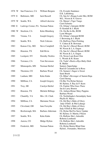| 1978 W | San Francisco, CA                | William Bergum         | Ch. Everglo Sundance               |
|--------|----------------------------------|------------------------|------------------------------------|
|        |                                  |                        | E.K. Labenberg                     |
| 1979 E | Baltimore, MD                    | <b>Jack Russell</b>    | Ch. San Jo's Raaga Looki Mei, ROM  |
|        |                                  |                        | M.L. Nixon & N. Graves             |
| 1979 W | Seattle, WA                      | Alfred Likewise        | Ch. Maran's Tiger Tango            |
|        |                                  |                        | Carol Schmitz                      |
| 1980 E | Ludwigs Corner, PA Norman Patton |                        | Ch. Orlane's Intrepid, ROM         |
|        |                                  |                        | D. Kendall & J. Blyth              |
| 1980 W | Stockton, CA                     | Keke Blumberg          | Ch. On-Ba Jo-Bo, ROM               |
|        |                                  |                        | Lynn Morgan                        |
| 1981   | Vienna, VA                       | Joseph Gregory         | Ch. Orlane's Intrepid ROM          |
|        |                                  |                        | J. Browning & J. Blyth             |
| 1982   | Seattle, WA                      | Nick Calicura          | Ch. Ruffway Patra Pololing         |
|        |                                  |                        | V. Cohen & B. Bowman               |
| 1983   | Kansas City, MO                  | <b>Steve Campbell</b>  | Ch. San Jo's Hussel Bussel, ROM    |
|        |                                  |                        | M. Nixon & L.A. Engen              |
| 1984   | Houston, TX                      | Edd Bivin              | Ch. San Jo's Hussel Bussel, ROM    |
|        |                                  |                        | M. Nixon & L.A. Engen              |
| 1985   | Lockport, NY                     | <b>Dorothy Nickles</b> | Ch. Nexus Lam Kam Chin             |
|        |                                  |                        | L. Woods & R. Kraus                |
| 1986   | Torrance, CA                     | Tom Stevenson          | Ch. Tashi's Rock-a-Bye-Baby-Dieh   |
|        |                                  |                        | R. Muller                          |
| 1987   | Minneapolis, MN                  | Norman Herbel          | <b>Suntory Superfudge</b>          |
|        |                                  |                        | Raul & Cassandra de la Rosa        |
| 1988   | Thornton, CO                     | Barbara Wood           | Ch. Samara's Sugar is Sweet        |
|        |                                  |                        | Sami Brush                         |
| 1989   | Lanham, MD                       | Keke Kahn              | Ch. Bihar's Revenger of Sammi Raja |
|        |                                  |                        | Carol Strong                       |
| 1990   | Millbrae, CA                     |                        | Ch. Sho Tru Hylan Stetson          |
|        |                                  | Joseph Gregory         | M. Hylton, S. Ray & P. Keen        |
| 1991   |                                  |                        | Ch. Fanfair Who Goes There         |
|        | Troy, MI                         | Carolyn Herbel         |                                    |
|        |                                  |                        | Jan & Larry Bruton                 |
| 1992   | Houston, TX                      | Michele Billings       | Ch. Anbara-Rimar Mary Puppins      |
|        |                                  |                        | Barbara Wood                       |
| 1993   | Chantilly, VA                    | Mrs. J.E. Clark        | Ch. Norbulingka's Serendipity Sami |
|        |                                  |                        | Phyllis R. Marcy                   |
| 1994   | Millbrae, CA                     | Marianne Nixon         | Ch. Del Rey's Babe of Glory        |
|        |                                  |                        | Judy O'Dell & Phil Labarge         |
| 1995   | Cleveland, OH                    | Jane Forsythe          | Ch. Del Rey's Babe of Glory        |
|        |                                  |                        | Judy O'Dell & Phil Labarge         |
| 1996   | Boxborough, MA                   | Barbara Alderman       | Ch. Hylan ShoTru Snow Update       |
|        |                                  |                        | M. Hylton, O. Martin, P.Keen       |
| 1997   | Seattle, WA                      | Keke Kahn              | Ch. Rufkins She's Adorable         |
|        |                                  |                        | Roberta Lombardi                   |
| 1998   | Aurora, CO                       | Midge Hylton           | Ch. Rufkins She's Adorable         |
|        |                                  |                        | Roberta Lombardi                   |
| 1999   | Frederick, MD                    | Norman Patton          | Ch. Hylan Shotru Blind Date        |
|        |                                  |                        | Hylton, Fernandes, Morrison        |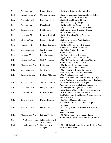| 2000 | Pomona, CA       | Robert Sharp                     | Ch. Keko's Tailor Made, Keith Kort                                                                                       |
|------|------------------|----------------------------------|--------------------------------------------------------------------------------------------------------------------------|
| 2001 | Oconomowoc, WI   | Michele Billings                 | Ch. Anbara Alasara Smart Aleck, CDX, RE,<br>Sarah Fitzgerald, Barbara Wood                                               |
| 2002 | Worcester, MA    | Peggy A. Hogg                    | Ch. Northwind Stormy Night,<br>Cindy Butsic, Judy George                                                                 |
| 2003 | Pomona, CA       | Dana Read                        | Ch. Hylan Shotru Krisna Hotshot,<br>Harper, Peterson, Roberts, Fernandes                                                 |
| 2004 | St. Louis, MO    | Edd E. Bivin                     | Ch. Summerwind's Tygerllily Circe',<br>Amber Chaviano                                                                    |
| 2005 | Frederick, MD    | Loraine Boutwell                 | Ch. Northwind As Good As It Gets,<br><b>Cindy Butsic</b>                                                                 |
| 2006 | Olympia, WA      | Robert J. Berndt                 | Ch. Showa Fantastic With Pantulf,<br>E Jones/L Smith                                                                     |
| 2007 | Houston, TX      | Barbara Schwartz                 | Ch. Hylan Shotru Full Of Dreams,<br>Wagner & Pat Keen Fernandes                                                          |
| 2008 | Mansfield, MA    | Sari Brewster<br>Tietjen         | Ch. Ta Sen Victory Peyote,<br>Susan S. Giles                                                                             |
| 2009 | Carlisle, PA     | <b>Beverly Drake</b>             | Ch. Tara Huff Edrey Starbuck,<br>Peggy Huffman and Edwin Valle                                                           |
| 2010 | Vancouver, WA    | Neil W. Graves                   | GCh. My Thai Ta Sen Halleluiah Chorus,<br>Susan S. Giles. Mary D. Vaden                                                  |
| 2011 | Albuquerque, NM  | <b>Betty Leninger</b>            | GCh. Ta Sen Bond James Bond,<br>Susan S. Giles, Mary Vaden                                                               |
| 2012 | Mansfield, MA    | Jan Bruton                       | GCh. Kumi Kian Living the Dream,<br>Tia McLaughlin and Ann Lanterman                                                     |
| 2013 | Sacramento, CA   | Barbara Alderman                 | GCh. Xeralane's Kid Rock<br>Xeralane Kennel, Susan Giles, Wendy Harper,<br>Muriel Wolverton, Michael Santora, Allen Losa |
| 2014 | St. Louis, MO    | Stephen Campbell                 | Ch. Black Boots Stars and Stripes<br>Anna Friberg and Linda Friberg Anderson                                             |
| 2015 | Mansfield, MA    | Darby McSorley                   | Ch. Westgate Monogram Art Carney<br>Cindy Sehnert, Clay Williams, and Susan Giles                                        |
| 2016 | Loveland, CO     | Barbara Wood                     | GCh. Kumi Kian Mion Parti in the USA<br>Tia McLaughlin, Don Hanson, Naomi Hanson,<br>Ann Lanterman                       |
| 2017 | St. Louis, MO    | Donald Hanson                    | Chic Choix Cleopatra Erydice<br>Pila Helistola-Laurila and Sanna Kopola-<br>Hirsimaki                                    |
| 2018 | Frederick, MD    | Doris Cozart                     | Ch. Shut Up And Kiss Me Del'Allberico at<br>Xeralane<br>Xeralane Kennel                                                  |
| 2019 | Albuquerque, NM  | Patricia Trotter                 | GCHG Siimline's Love Legacy Truth<br>Susan S Giles, Kersti Paju, and Vivian Muttik                                       |
| 2020 | No Specialty was | held due to Covid<br>19 Pandemic |                                                                                                                          |
| 2021 | Boxborough, MA   | Stephen G.C.<br>Campbell         | GCH CH Hylan Shotru Riverview Strike a Pose<br>Pat Keen Fernandes                                                        |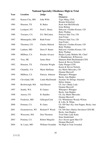# **National Specialty Obedience High in Trial**

| Year | Location        | Judge                 | Dog                                   |
|------|-----------------|-----------------------|---------------------------------------|
|      |                 |                       | Owner(s)                              |
| 1983 | Kansas City, MO | John Wills            | Tiger Ming, CDX                       |
|      |                 |                       | Brenda Schmelzel                      |
| 1984 | Houston, TX     | <b>B.</b> Baker       | Kash Ann McGillicudy                  |
|      |                 |                       | Irene Bishop                          |
| 1985 | Lockport, NY    | Fred L. Henry         | Halcyon's Golden Kismet, UD           |
|      |                 |                       | <b>Betty Wathne</b>                   |
| 1986 | Torrance, CA    | D.J. McCauley         | Princess Suki Too, UD                 |
|      |                 |                       | <b>Jean Foster</b>                    |
| 1987 | Minneapolis, MN | <b>Ruth Foster</b>    | Princess Suki Too, UD                 |
|      |                 |                       | <b>Jean Foster</b>                    |
| 1988 | Thornton, CO    | <b>Charles Mulock</b> | Halcyon's Golden Kismet, UD           |
|      |                 |                       | <b>Betty Wathne</b>                   |
| 1989 | Lanham, MD      | Doris P. Baster       | Halcyon's Golden Kismet, UD           |
|      |                 |                       | <b>Betty Wathne</b>                   |
| 1990 | Millbrae, CA    | Rosalie Alvarez       | Barjea Lyndy Midnite Ms. Chief        |
|      |                 |                       | J. Mannheimer, B. Peterson            |
| 1991 | Troy, MI        | James Ham             | Shanaras Ruhl Buckhannah CDX          |
|      |                 |                       | Karen & Steven Nichols                |
| 1992 | Houston, TX     | Christine Wright      | Gaby Plauget CDX                      |
|      |                 |                       | Karen & Steven Nichols                |
| 1993 | Chantilly, VA   | Marie Huffman         | Joy Marlo Mercedes, CD                |
|      |                 |                       | Deanna Maxwell                        |
| 1994 | Millbrae, CA    | Patricia Johnson      | Whooper's Whopper                     |
|      |                 |                       | Becky Ann Hughes                      |
| 1995 | Cleveland, OH   | Linda MacDonald       | Joymarc No Strings Attached           |
|      |                 |                       | Helen Adamo                           |
| 1996 | Boxborough, MA  | Judi Bassett          | Ch. Joy's Shady Lady                  |
|      |                 |                       | Deanna Maxwell                        |
| 1997 | Seattle, WA     | <b>B.</b> Gaines      | Whooper's Whopper                     |
|      |                 |                       | Becky Ann Hughes                      |
| 1998 | Aurora, CO      | <b>B.</b> Handler     | Ch. Joy Marlo Mercedes                |
|      |                 |                       | Deanna Maxwell                        |
| 1999 | Frederick, MD   | Gillespie/Cash        | Ch. Whitehouse Woody Wilson           |
|      |                 |                       | R. Lilly, R. White                    |
| 2000 | Pomona, CA      | R. Gates              | Ch. Ob-One's Ky-Ann Pepper, Becky Ann |
|      |                 |                       | Hughes                                |
| 2001 | Oconomowoc, WI  | Richard P. Wood       | Ch. Ob-One's Harley Davidson CDX RE   |
|      |                 |                       | Becky Ann Hughes                      |
| 2002 | Worcester, MA   | Don Thornton          | Twin Oaks Lady Katie                  |
|      |                 |                       | Ilene Sunderland                      |
| 2003 | Pomona, CA      | Robert Margolis       | Joy's Secret agent Man CD             |
|      |                 |                       | Deanna Maxwell                        |
| 2004 | St. Louis, MO   | William Oxendale      | No High in Trial Awarded              |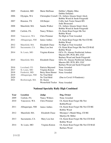| 2005 | Frederick, MD   | Marie Huffman                   | Debbie's Mighty Mike<br>Debbie DeSantis                                                                                                 |
|------|-----------------|---------------------------------|-----------------------------------------------------------------------------------------------------------------------------------------|
| 2006 | Olympia, WA     | <b>Christopher Cornell</b>      | Ch. Anbara Alasara Smart Aleck                                                                                                          |
| 2007 | Houston, TX     | J.R.Harper                      | Bobbie Wood & Sarah Fitzgerald<br><b>Colby Jack Teeter Smack RN</b><br>Jodie Broussard                                                  |
| 2008 | Mansfield, MA   | Sandra Walker                   | Ch. Anbara Alasara Smart Aleck<br>Bobbie Wood & Sarah Fitzgerald                                                                        |
| 2009 | Carlisle, PA    | Nancy Withers                   | Ch. Kumi Kian Forget Me Not<br><b>Bobbie Wood</b>                                                                                       |
| 2010 | Vancouver, WA   | <b>Chris Primmer</b>            | No High in Trial Awarded                                                                                                                |
| 2011 | Albuquerque, NM | Janice Anthes                   | Ch. Kumi Kian Forget Me Not CD RE<br><b>Bobbie Wood</b>                                                                                 |
| 2012 | Mansfield, MA   | <b>Elizabeth Chase</b>          | No High in Trial Awarded                                                                                                                |
| 2013 | Sacramento, CA  | Mary Lou Just                   | Ch. Kumi Kian Forget Me Not CD RAE<br><b>Bobbie Wood</b>                                                                                |
| 2014 | St. Louis, MO   | Virginia Kinion                 | GCh. Ch. Alasara Northwind Anbara<br>Maestro BN. PCD, RN, CGC                                                                           |
| 2015 | Mansfield, MA   | <b>Elizabeth Chase</b>          | Barbara Wood and Sarah Fitzgerald<br>GCh. Ch. Alasara Northwind Anbara<br>Maestro BN. PCD, RN, CGC<br>Barbara Wood and Sarah Fitzgerald |
| 2016 | Loveland, CO    | Patricia Maynard                | None Awarded                                                                                                                            |
| 2017 | St. Louis, MO   | Virginia Kinion                 | None Awarded                                                                                                                            |
| 2018 | Frederick, MD   | <b>Betsy Horn Humer</b>         | None Awarded                                                                                                                            |
| 2019 | Albuquerque, NM | No Trial Held                   |                                                                                                                                         |
| 2020 |                 | No Trial Held                   | (Due to Covid 19 Pandemic)                                                                                                              |
| 2021 | Boxborough, MA  | Dr. Karen                       |                                                                                                                                         |
|      |                 | Westerfield Tucker None Awarded |                                                                                                                                         |

# **National Specialty Rally High Combined**

| Year | <b>Location</b> | Judge           | Dog, Owner                         |
|------|-----------------|-----------------|------------------------------------|
| 2009 | Carlisle, PA    | Nancy Withers   | None Awarded                       |
| 2010 | Vancouver, WA   | Chris Primmer   | Ch. Kumi Kian Forget Me Not        |
|      |                 |                 | <b>BobbieWood</b>                  |
| 2011 | Albuquerque, NM | Janice Anthes   | Ch. Kumi Kian Forget Me Not CD RE  |
|      |                 |                 | Bobbie Wood                        |
| 2012 | Mansfield, MA   | Elizabeth Chase | Moonpye's Mandi Ming, CD RE        |
|      |                 |                 | Marilyn M. Miller                  |
| 2013 | Sacramento, CA  | Mary Lou Just   | Ch. Kumi Kian Forget Me Not CD RAE |
|      |                 |                 | Bobbie Wood                        |
| 2014 | St. Louis, MO   | Virginia Kinion | Ch. Kumi Kian Forget Me Not CD RAE |
|      |                 |                 | Barbara Wood                       |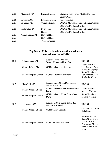| Mansfield, MA   | Elizabeth Chase   | Ch. Kumi Kian Forget Me Not CD RAE       |
|-----------------|-------------------|------------------------------------------|
|                 |                   | Barbara Wood                             |
| Loveland, CO    | Patricia Maynard  | None Awarded                             |
| St. Louis, MO   | Virginia Kinion   | GCh.Ch. My Tahi Ta Sen Halleluiah Chorus |
|                 |                   | CGD DC RN, Susan S Giles                 |
| Frederick, MD   | <b>Betsy Horn</b> | GCh.Ch. My Tahi Ta Sen Halleluiah Chorus |
|                 | Humer             | CGD DC RN, Susan S Giles                 |
| Albuquerque, NM | No Trial Held     |                                          |
|                 | No Trial Held     |                                          |
|                 | None Awarded      |                                          |
|                 |                   |                                          |

## **Top 20 and 25 Invitational Competition Winners (Competitions Ended 2016)**

| 2011 | Albuquerque, NM        | Judges: Patricia McLeod,<br>Wendy Harper and Lois Demers | <b>TOP 20</b>                                                                                               |
|------|------------------------|----------------------------------------------------------|-------------------------------------------------------------------------------------------------------------|
|      | Winner Judge's Choice  | <b>GCH Sundancer Aleksandra</b>                          | Kathy Hamilton,<br>Lori Johnson, Tom<br>& Marsha Worlton                                                    |
|      | Winner People's Choice | <b>GCH Sundancer Aleksandra</b>                          | Kathy Hamilton,<br>Lori Johnson, Tom<br>& Marsha Worlton                                                    |
| 2012 | Mansfield, MA          | Judges: Craig Grein, Don Hanson<br>and Pat Martello      | <b>TOP 20</b>                                                                                               |
|      | Winner Judge's Choice  | GCH Sundancer Hylan Shotru Secret<br>Dawn                | Kathy Hamilton,<br>Marsha Worlton                                                                           |
|      | Winner People's Choice | <b>GCH Sundancer Hylan Shotru Secret</b><br>Dawn         | Kathy Hamilton,<br>Marsha Worlton                                                                           |
| 2013 | Sacramento, CA         | Judges: Debbie Burke, Elaine King<br>and Barbara Wood    | <b>TOP 20</b>                                                                                               |
|      | Winner Judge's Choice  | <b>GCH</b> Suntory Leonetti                              | Cassandra and Raul<br>de la Rosa                                                                            |
|      | Winner People's Choice | <b>GCH Xeralanes' Kid Rock</b>                           | Xeralane Kennel,<br>Susan Giles, Wendy<br>Harper, Muriel<br>Wolverton, Michael<br>Santora and Allen<br>Losa |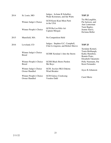| 2014 | St. Louis, MO                           | Judges: JoAnne R Schullier,<br>Wade Koistenen, and Ida Watts          | <b>TOP 25</b>                                                                                  |
|------|-----------------------------------------|-----------------------------------------------------------------------|------------------------------------------------------------------------------------------------|
|      | Winner Judge's Choice                   | <b>GCH Kumi Kian Mion Parti</b><br>in the USA                         | Tia McLaughlin,<br>Pat Jackson, and<br>Ann Lanterman                                           |
|      | Winner People's Choice                  | GCH Ha-Lee Kiki-Ari<br>Captain Morgan                                 | Tami Bagley,<br>Jeanne Sauve,<br>DeAnna Heller                                                 |
| 2015 | Mansfield, MA                           | No Competition Held                                                   |                                                                                                |
| 2016 | Loveland, CO                            | Judges: Stephen G.C. Campbell,<br>Clint Livingston, and Robert Shreve | <b>TOP 25</b>                                                                                  |
|      | Winner Judge's Choice<br><b>Breed</b>   | GCHB Xeralane's Into the Storm                                        | Xeralane Kennel,<br>Tonia Holibaugh,<br>Kathy Hamilton,<br>Bonnie Prato,<br>Elizabeth Takamoto |
|      | Winner People's Choice<br><b>Breed</b>  | <b>GCHS Black Boots Pardon</b><br>Me Boyz                             | Polly Naumann, Pat<br><b>Keen Fernandes</b>                                                    |
|      | Winner Judge's Choice<br>Owner Handled  | GCH. Joyslyn MLS Dakota<br><b>Wind Breaker</b>                        | Joyce K Johanson                                                                               |
|      | Winner People's Choice<br>Owner Handled | <b>GCH Galaxy Creeksong</b><br>Voodoo Dahl                            | Carol Mertz                                                                                    |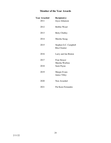# **Member of the Year Awards**

| <b>Year Awarded</b> | <b>Recipient(s)</b>                           |
|---------------------|-----------------------------------------------|
| 2011                | Joyce Johanson                                |
| 2012                | <b>Bobbie Wood</b>                            |
| 2013                | <b>Betty Chidley</b>                          |
| 2014                | Marsha Susag                                  |
| 2015                | Stephen G.C. Campbell<br><b>Rita Cloutier</b> |
| 2016                | Larry and Jan Bruton                          |
| 2017                | Fran Strayer<br>Marsha Worlton                |
| 2018                | Sami Payne                                    |
| 2019                | Margie Evans<br>Janice Tilley                 |
| 2020                | Non Awarded                                   |
| 2021                | <b>Pat Keen Fernandes</b>                     |